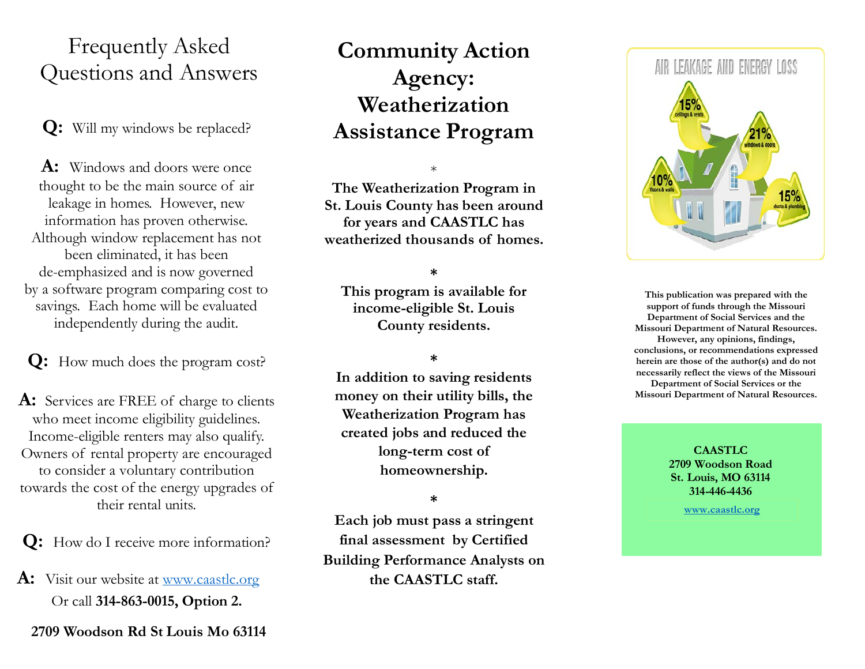## Frequently Asked Questions and Answers

**Q:** Will my windows be replaced?

**A:** Windows and doors were once thought to be the main source of air leakage in homes. However, new information has proven otherwise. Although window replacement has not been eliminated, it has been de-emphasized and is now governed by a software program comparing cost to savings. Each home will be evaluated independently during the audit.

**Q:** How much does the program cost?

A: Services are FREE of charge to clients who meet income eligibility guidelines. Income-eligible renters may also qualify. Owners of rental property are encouraged to consider a voluntary contribution towards the cost of the energy upgrades of their rental units.

**Q:** How do I receive more information?

**A:** Visit our website at [www.caastlc.org](http://www.caastlc.org/) Or call **314-863-0015, Option 2.**

**2709 Woodson Rd St Louis Mo 63114**

# **Community Action Agency: Weatherization Assistance Program**

\*

**The Weatherization Program in St. Louis County has been around for years and CAASTLC has weatherized thousands of homes.**

### **\***

**This program is available for income-eligible St. Louis County residents.**

### **\***

**In addition to saving residents money on their utility bills, the Weatherization Program has created jobs and reduced the long-term cost of homeownership.**

#### **\***

**Each job must pass a stringent final assessment by Certified Building Performance Analysts on the CAASTLC staff.**



**This publication was prepared with the support of funds through the Missouri Department of Social Services and the Missouri Department of Natural Resources. However, any opinions, findings, conclusions, or recommendations expressed herein are those of the author(s) and do not necessarily reflect the views of the Missouri Department of Social Services or the Missouri Department of Natural Resources.**

> **CAASTLC 2709 Woodson Road St. Louis, MO 63114 314-446-4436**

> > **[www.caastlc.org](http://www.caastlc.org/)**